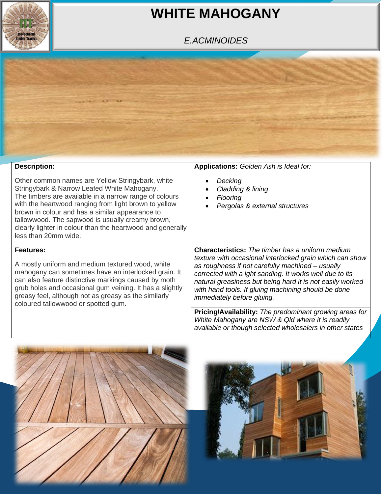

## **WHITE MAHOGANY**

## *E.ACMINOIDES*



| <b>Description:</b>                                                                                                                                                                                                                                                                                                                                                                                             | <b>Applications:</b> Golden Ash is Ideal for:                                                                                                                                                                                                                                                                                                                                               |  |  |  |
|-----------------------------------------------------------------------------------------------------------------------------------------------------------------------------------------------------------------------------------------------------------------------------------------------------------------------------------------------------------------------------------------------------------------|---------------------------------------------------------------------------------------------------------------------------------------------------------------------------------------------------------------------------------------------------------------------------------------------------------------------------------------------------------------------------------------------|--|--|--|
| Other common names are Yellow Stringybark, white<br>Stringybark & Narrow Leafed White Mahogany.<br>The timbers are available in a narrow range of colours<br>with the heartwood ranging from light brown to yellow<br>brown in colour and has a similar appearance to<br>tallowwood. The sapwood is usually creamy brown,<br>clearly lighter in colour than the heartwood and generally<br>less than 20mm wide. | Decking<br>Cladding & lining<br><b>Flooring</b><br>Pergolas & external structures                                                                                                                                                                                                                                                                                                           |  |  |  |
| <b>Features:</b><br>A mostly uniform and medium textured wood, white<br>mahogany can sometimes have an interlocked grain. It<br>can also feature distinctive markings caused by moth<br>grub holes and occasional gum veining. It has a slightly<br>greasy feel, although not as greasy as the similarly<br>coloured tallowwood or spotted gum.                                                                 | <b>Characteristics:</b> The timber has a uniform medium<br>texture with occasional interlocked grain which can show<br>as roughness if not carefully machined - usually<br>corrected with a lght sanding. It works well due to its<br>natural greasiness but being hard it is not easily worked<br>with hand tools. If gluing machining should be done<br><i>immediately before gluing.</i> |  |  |  |
|                                                                                                                                                                                                                                                                                                                                                                                                                 | <b>Pricing/Availability:</b> The predominant growing areas for<br>White Mahogany are NSW & Qld where it is readily<br>available or though selected wholesalers in other states                                                                                                                                                                                                              |  |  |  |